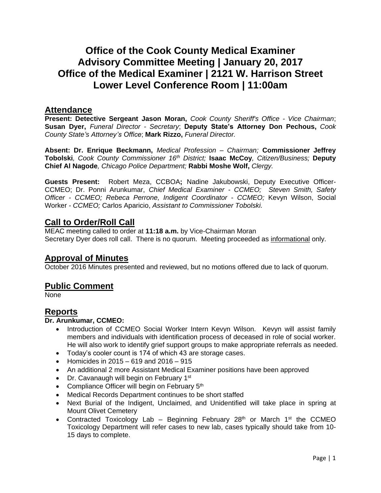# **Office of the Cook County Medical Examiner Advisory Committee Meeting | January 20, 2017 Office of the Medical Examiner | 2121 W. Harrison Street Lower Level Conference Room | 11:00am**

### **Attendance**

**Present: Detective Sergeant Jason Moran,** *Cook County Sheriff's Office - Vice Chairman*; **Susan Dyer,** *Funeral Director - Secretary*; **Deputy State's Attorney Don Pechous,** *Cook County State's Attorney's Office*; **Mark Rizzo,** *Funeral Director.*

**Absent: Dr. Enrique Beckmann,** *Medical Profession – Chairman;* **Commissioner Jeffrey Tobolski***, Cook County Commissioner 16th District;* **Isaac McCoy***, Citizen/Business;* **Deputy Chief Al Nagode***, Chicago Police Department;* **Rabbi Moshe Wolf,** *Clergy.*

**Guests Present:** Robert Meza, CCBOA**;** Nadine Jakubowski, Deputy Executive Officer-CCMEO; Dr. Ponni Arunkumar, *Chief Medical Examiner - CCMEO; Steven Smith, Safety Officer - CCMEO; Rebeca Perrone, Indigent Coordinator - CCMEO;* Kevyn Wilson, Social Worker *- CCMEO;* Carlos Aparicio, *Assistant to Commissioner Tobolski.*

# **Call to Order/Roll Call**

MEAC meeting called to order at **11:18 a.m.** by Vice-Chairman Moran Secretary Dyer does roll call. There is no quorum. Meeting proceeded as informational only.

# **Approval of Minutes**

October 2016 Minutes presented and reviewed, but no motions offered due to lack of quorum.

# **Public Comment**

None

# **Reports**

#### **Dr. Arunkumar, CCMEO:**

- Introduction of CCMEO Social Worker Intern Kevyn Wilson. Kevyn will assist family members and individuals with identification process of deceased in role of social worker. He will also work to identify grief support groups to make appropriate referrals as needed.
- Today's cooler count is 174 of which 43 are storage cases.
- Homicides in  $2015 619$  and  $2016 915$
- An additional 2 more Assistant Medical Examiner positions have been approved
- Dr. Cavanaugh will begin on February 1<sup>st</sup>
- Compliance Officer will begin on February 5<sup>th</sup>
- Medical Records Department continues to be short staffed
- Next Burial of the Indigent, Unclaimed, and Unidentified will take place in spring at Mount Olivet Cemetery
- Contracted Toxicology Lab Beginning February 28<sup>th</sup> or March 1<sup>st</sup> the CCMEO Toxicology Department will refer cases to new lab, cases typically should take from 10- 15 days to complete.